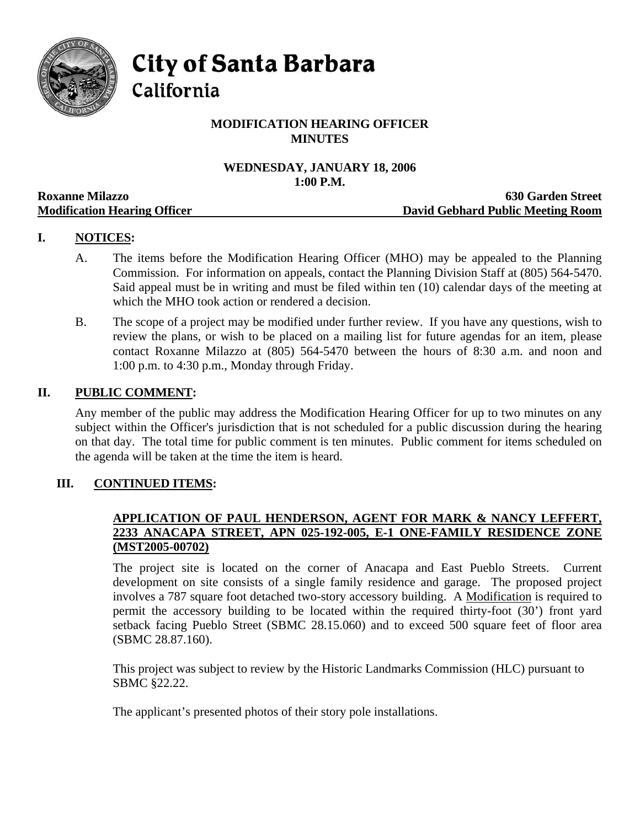

**City of Santa Barbara** 

California

# **MODIFICATION HEARING OFFICER MINUTES**

# **WEDNESDAY, JANUARY 18, 2006**   $1:00 \text{ P M}$

|                                     | TODA T ON T                       |
|-------------------------------------|-----------------------------------|
| <b>Roxanne Milazzo</b>              | <b>630 Garden Street</b>          |
| <b>Modification Hearing Officer</b> | David Gebhard Public Meeting Room |

# **I. NOTICES:**

- A. The items before the Modification Hearing Officer (MHO) may be appealed to the Planning Commission. For information on appeals, contact the Planning Division Staff at (805) 564-5470. Said appeal must be in writing and must be filed within ten (10) calendar days of the meeting at which the MHO took action or rendered a decision.
- B. The scope of a project may be modified under further review. If you have any questions, wish to review the plans, or wish to be placed on a mailing list for future agendas for an item, please contact Roxanne Milazzo at (805) 564-5470 between the hours of 8:30 a.m. and noon and 1:00 p.m. to 4:30 p.m., Monday through Friday.

#### **II. PUBLIC COMMENT:**

Any member of the public may address the Modification Hearing Officer for up to two minutes on any subject within the Officer's jurisdiction that is not scheduled for a public discussion during the hearing on that day. The total time for public comment is ten minutes. Public comment for items scheduled on the agenda will be taken at the time the item is heard.

### **III. CONTINUED ITEMS:**

#### **APPLICATION OF PAUL HENDERSON, AGENT FOR MARK & NANCY LEFFERT, 2233 ANACAPA STREET, APN 025-192-005, E-1 ONE-FAMILY RESIDENCE ZONE (MST2005-00702)**

The project site is located on the corner of Anacapa and East Pueblo Streets. Current development on site consists of a single family residence and garage. The proposed project involves a 787 square foot detached two-story accessory building. A Modification is required to permit the accessory building to be located within the required thirty-foot (30') front yard setback facing Pueblo Street (SBMC 28.15.060) and to exceed 500 square feet of floor area (SBMC 28.87.160).

This project was subject to review by the Historic Landmarks Commission (HLC) pursuant to SBMC §22.22.

The applicant's presented photos of their story pole installations.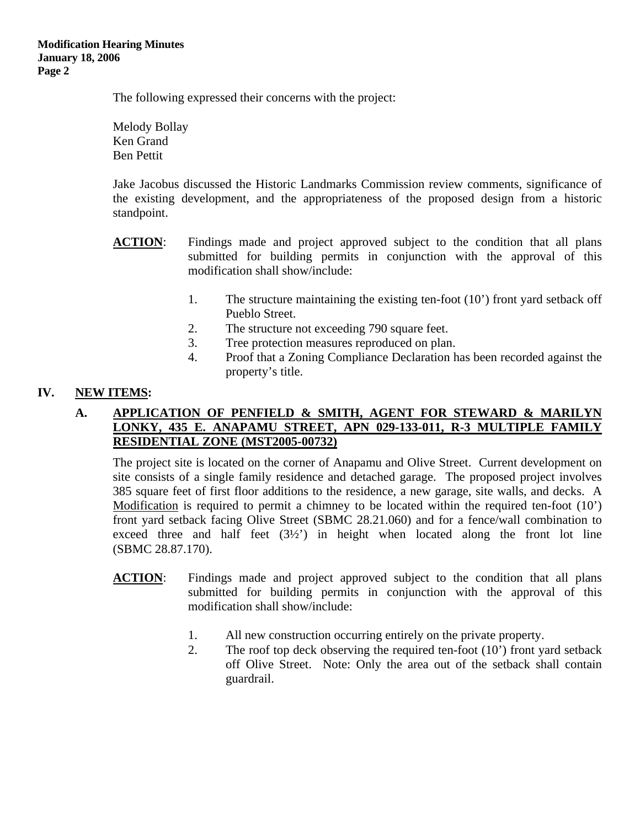The following expressed their concerns with the project:

Melody Bollay Ken Grand Ben Pettit

Jake Jacobus discussed the Historic Landmarks Commission review comments, significance of the existing development, and the appropriateness of the proposed design from a historic standpoint.

- ACTION: Findings made and project approved subject to the condition that all plans submitted for building permits in conjunction with the approval of this modification shall show/include:
	- 1. The structure maintaining the existing ten-foot (10') front yard setback off Pueblo Street.
	- 2. The structure not exceeding 790 square feet.
	- 3. Tree protection measures reproduced on plan.
	- 4. Proof that a Zoning Compliance Declaration has been recorded against the property's title.

### **IV. NEW ITEMS:**

### **A. APPLICATION OF PENFIELD & SMITH, AGENT FOR STEWARD & MARILYN LONKY, 435 E. ANAPAMU STREET, APN 029-133-011, R-3 MULTIPLE FAMILY RESIDENTIAL ZONE (MST2005-00732)**

The project site is located on the corner of Anapamu and Olive Street. Current development on site consists of a single family residence and detached garage. The proposed project involves 385 square feet of first floor additions to the residence, a new garage, site walls, and decks. A Modification is required to permit a chimney to be located within the required ten-foot (10') front yard setback facing Olive Street (SBMC 28.21.060) and for a fence/wall combination to exceed three and half feet  $(3\frac{1}{2})$  in height when located along the front lot line (SBMC 28.87.170).

- **ACTION**: Findings made and project approved subject to the condition that all plans submitted for building permits in conjunction with the approval of this modification shall show/include:
	- 1. All new construction occurring entirely on the private property.
	- 2. The roof top deck observing the required ten-foot (10') front yard setback off Olive Street. Note: Only the area out of the setback shall contain guardrail.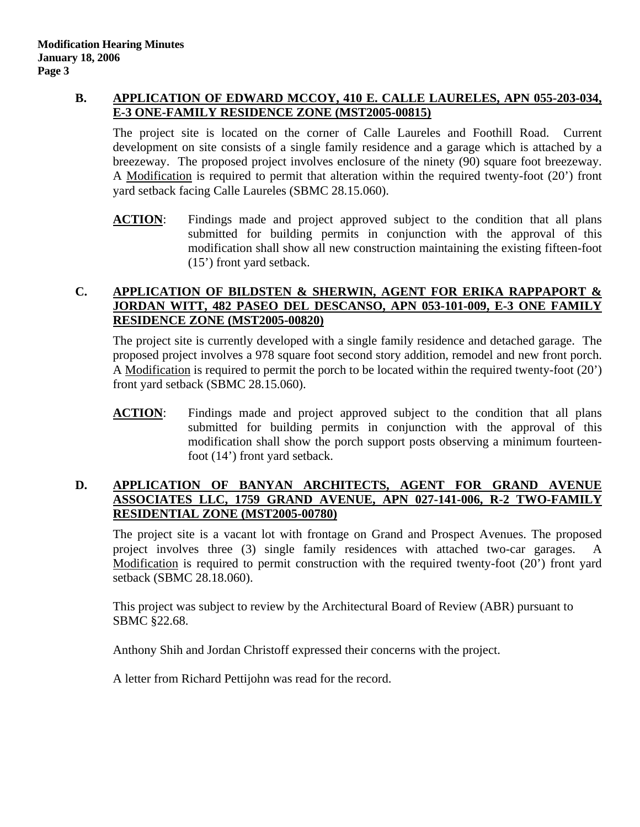## **B. APPLICATION OF EDWARD MCCOY, 410 E. CALLE LAURELES, APN 055-203-034, E-3 ONE-FAMILY RESIDENCE ZONE (MST2005-00815)**

The project site is located on the corner of Calle Laureles and Foothill Road. Current development on site consists of a single family residence and a garage which is attached by a breezeway. The proposed project involves enclosure of the ninety (90) square foot breezeway. A Modification is required to permit that alteration within the required twenty-foot (20') front yard setback facing Calle Laureles (SBMC 28.15.060).

**ACTION**: Findings made and project approved subject to the condition that all plans submitted for building permits in conjunction with the approval of this modification shall show all new construction maintaining the existing fifteen-foot (15') front yard setback.

### **C. APPLICATION OF BILDSTEN & SHERWIN, AGENT FOR ERIKA RAPPAPORT & JORDAN WITT, 482 PASEO DEL DESCANSO, APN 053-101-009, E-3 ONE FAMILY RESIDENCE ZONE (MST2005-00820)**

The project site is currently developed with a single family residence and detached garage. The proposed project involves a 978 square foot second story addition, remodel and new front porch. A Modification is required to permit the porch to be located within the required twenty-foot (20') front yard setback (SBMC 28.15.060).

ACTION: Findings made and project approved subject to the condition that all plans submitted for building permits in conjunction with the approval of this modification shall show the porch support posts observing a minimum fourteenfoot (14') front yard setback.

### **D. APPLICATION OF BANYAN ARCHITECTS, AGENT FOR GRAND AVENUE ASSOCIATES LLC, 1759 GRAND AVENUE, APN 027-141-006, R-2 TWO-FAMILY RESIDENTIAL ZONE (MST2005-00780)**

The project site is a vacant lot with frontage on Grand and Prospect Avenues. The proposed project involves three (3) single family residences with attached two-car garages. A Modification is required to permit construction with the required twenty-foot (20') front yard setback (SBMC 28.18.060).

This project was subject to review by the Architectural Board of Review (ABR) pursuant to SBMC §22.68.

Anthony Shih and Jordan Christoff expressed their concerns with the project.

A letter from Richard Pettijohn was read for the record.